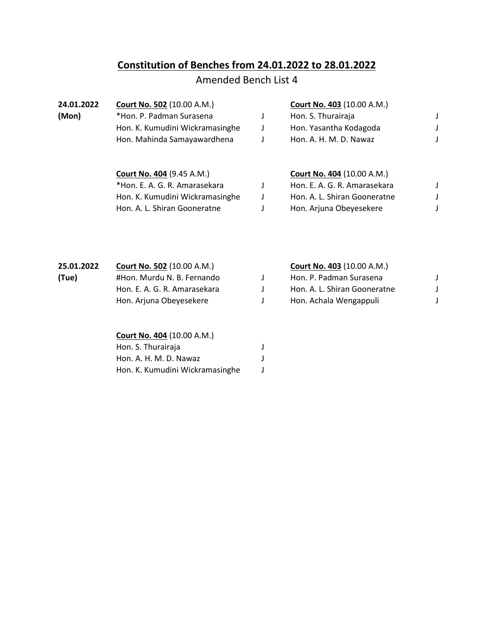## **Constitution of Benches from 24.01.2022 to 28.01.2022**

## Amended Bench List 4

| 24.01.2022 | <b>Court No. 502 (10.00 A.M.)</b> | <b>Court No. 403 (10.00 A.M.)</b> |  |
|------------|-----------------------------------|-----------------------------------|--|
| (Mon)      | *Hon. P. Padman Surasena          | Hon. S. Thurairaja                |  |
|            | Hon. K. Kumudini Wickramasinghe   | Hon. Yasantha Kodagoda            |  |
|            | Hon. Mahinda Samayawardhena       | Hon. A. H. M. D. Nawaz            |  |
|            |                                   |                                   |  |
|            |                                   |                                   |  |

| <b>Court No. 404 (9.45 A.M.)</b> | <b>Court No. 404 (10.00 A.M.)</b> |  |
|----------------------------------|-----------------------------------|--|
| *Hon. E. A. G. R. Amarasekara    | Hon. E. A. G. R. Amarasekara      |  |
| Hon. K. Kumudini Wickramasinghe  | Hon. A. L. Shiran Gooneratne      |  |
| Hon. A. L. Shiran Gooneratne     | Hon. Arjuna Obeyesekere           |  |

| 25.01.2022 | <b>Court No. 502 (10.00 A.M.)</b> | <b>Court No. 403 (10.00 A.M.)</b> |  |
|------------|-----------------------------------|-----------------------------------|--|
| (Tue)      | #Hon. Murdu N. B. Fernando        | Hon. P. Padman Surasena           |  |
|            | Hon. E. A. G. R. Amarasekara      | Hon. A. L. Shiran Gooneratne      |  |
|            | Hon. Arjuna Obeyesekere           | Hon. Achala Wengappuli            |  |
|            |                                   |                                   |  |

| Court No. 404 (10.00 A.M.)      |  |  |  |
|---------------------------------|--|--|--|
| Hon. S. Thurairaja              |  |  |  |
| Hon. A. H. M. D. Nawaz          |  |  |  |
| Hon. K. Kumudini Wickramasinghe |  |  |  |